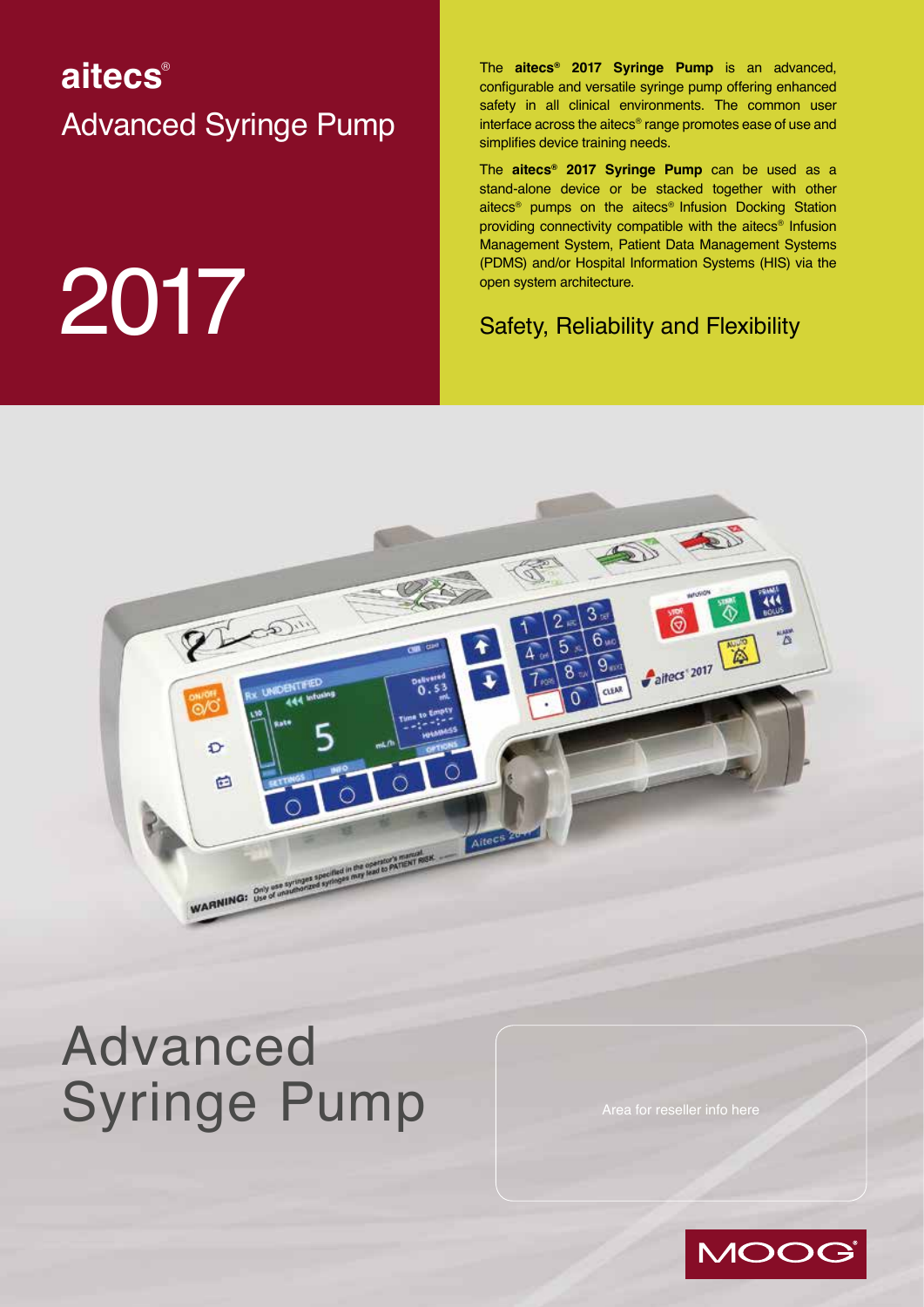# **aitecs**® Advanced Syringe Pump

# **2017** Safety, Reliability and Flexibility

The **aitecs® 2017 Syringe Pump** is an advanced, configurable and versatile syringe pump offering enhanced safety in all clinical environments. The common user interface across the aitecs® range promotes ease of use and simplifies device training needs.

The **aitecs® 2017 Syringe Pump** can be used as a stand-alone device or be stacked together with other aitecs® pumps on the aitecs® Infusion Docking Station providing connectivity compatible with the aitecs® Infusion Management System, Patient Data Management Systems (PDMS) and/or Hospital Information Systems (HIS) via the open system architecture.



# Advanced Syringe Pump